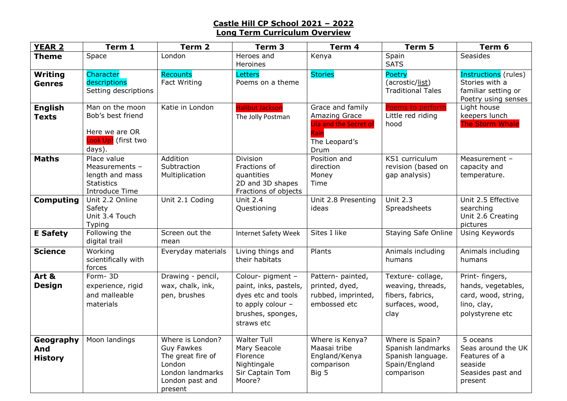## **Castle Hill CP School 2021 – 2022 Long Term Curriculum Overview**

| <b>YEAR 2</b>                      | Term 1                                                                                  | Term 2                                                                                                                 | Term <sub>3</sub>                                                                                                          | Term 4                                                                                              | Term 5                                                                                   | Term 6                                                                                         |
|------------------------------------|-----------------------------------------------------------------------------------------|------------------------------------------------------------------------------------------------------------------------|----------------------------------------------------------------------------------------------------------------------------|-----------------------------------------------------------------------------------------------------|------------------------------------------------------------------------------------------|------------------------------------------------------------------------------------------------|
| <b>Theme</b>                       | Space                                                                                   | London                                                                                                                 | Heroes and<br>Heroines                                                                                                     | Kenya                                                                                               | Spain<br><b>SATS</b>                                                                     | <b>Seasides</b>                                                                                |
| <b>Writing</b><br><b>Genres</b>    | Character<br>descriptions<br>Setting descriptions                                       | <b>Recounts</b><br>Fact Writing                                                                                        | Letters<br>Poems on a theme                                                                                                | <b>Stories</b>                                                                                      | Poetry<br>(acrostic/list)<br><b>Traditional Tales</b>                                    | Instructions (rules)<br>Stories with a<br>familiar setting or<br>Poetry using senses           |
| <b>English</b><br><b>Texts</b>     | Man on the moon<br>Bob's best friend<br>Here we are OR<br>Look Up! (first two<br>days). | Katie in London                                                                                                        | <b>Halibut Jackson</b><br>The Jolly Postman                                                                                | Grace and family<br>Amazing Grace<br><b>Lila and the Secret of</b><br>Rain<br>The Leopard's<br>Drum | Poems to perform<br>Little red riding<br>hood                                            | Light house<br>keepers lunch<br><b>The Storm Whale</b>                                         |
| <b>Maths</b>                       | Place value<br>Measurements -<br>length and mass<br><b>Statistics</b><br>Introduce Time | Addition<br>Subtraction<br>Multiplication                                                                              | Division<br>Fractions of<br>quantities<br>2D and 3D shapes<br>Fractions of objects                                         | Position and<br>direction<br>Money<br>Time                                                          | KS1 curriculum<br>revision (based on<br>gap analysis)                                    | Measurement -<br>capacity and<br>temperature.                                                  |
| <b>Computing</b>                   | Unit 2.2 Online<br>Safety<br>Unit 3.4 Touch<br>Typing                                   | Unit 2.1 Coding                                                                                                        | <b>Unit 2.4</b><br>Questioning                                                                                             | Unit 2.8 Presenting<br>ideas                                                                        | Unit $2.3$<br>Spreadsheets                                                               | Unit 2.5 Effective<br>searching<br>Unit 2.6 Creating<br>pictures                               |
| <b>E</b> Safety                    | Following the<br>digital trail                                                          | Screen out the<br>mean                                                                                                 | <b>Internet Safety Week</b>                                                                                                | Sites I like                                                                                        | <b>Staying Safe Online</b>                                                               | <b>Using Keywords</b>                                                                          |
| <b>Science</b>                     | Working<br>scientifically with<br>forces                                                | Everyday materials                                                                                                     | Living things and<br>their habitats                                                                                        | Plants                                                                                              | Animals including<br>humans                                                              | Animals including<br>humans                                                                    |
| Art &<br><b>Design</b>             | Form-3D<br>experience, rigid<br>and malleable<br>materials                              | Drawing - pencil,<br>wax, chalk, ink,<br>pen, brushes                                                                  | Colour- pigment -<br>paint, inks, pastels,<br>dyes etc and tools<br>to apply colour $-$<br>brushes, sponges,<br>straws etc | Pattern- painted,<br>printed, dyed,<br>rubbed, imprinted,<br>embossed etc                           | Texture-collage,<br>weaving, threads,<br>fibers, fabrics,<br>surfaces, wood,<br>clay     | Print- fingers,<br>hands, vegetables,<br>card, wood, string,<br>lino, clay,<br>polystyrene etc |
| Geography<br>And<br><b>History</b> | Moon landings                                                                           | Where is London?<br><b>Guy Fawkes</b><br>The great fire of<br>London<br>London landmarks<br>London past and<br>present | <b>Walter Tull</b><br>Mary Seacole<br>Florence<br>Nightingale<br>Sir Captain Tom<br>Moore?                                 | Where is Kenya?<br>Maasai tribe<br>England/Kenya<br>comparison<br>Big 5                             | Where is Spain?<br>Spanish landmarks<br>Spanish language.<br>Spain/England<br>comparison | 5 oceans<br>Seas around the UK<br>Features of a<br>seaside<br>Seasides past and<br>present     |